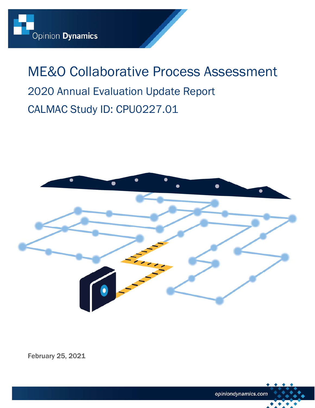# ME&O Collaborative Process Assessment 2020 Annual Evaluation Update Report CALMAC Study ID: CPU0227.01



February 25, 2021

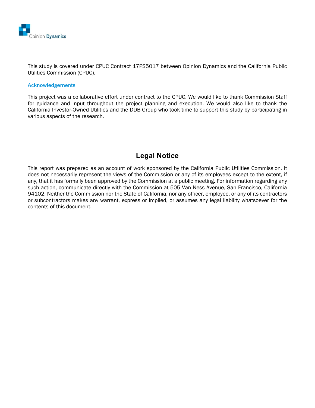

This study is covered under CPUC Contract 17PS5017 between Opinion Dynamics and the California Public Utilities Commission (CPUC).

#### Acknowledgements

This project was a collaborative effort under contract to the CPUC. We would like to thank Commission Staff for guidance and input throughout the project planning and execution. We would also like to thank the California Investor-Owned Utilities and the DDB Group who took time to support this study by participating in various aspects of the research.

### **Legal Notice**

This report was prepared as an account of work sponsored by the California Public Utilities Commission. It does not necessarily represent the views of the Commission or any of its employees except to the extent, if any, that it has formally been approved by the Commission at a public meeting. For information regarding any such action, communicate directly with the Commission at 505 Van Ness Avenue, San Francisco, California 94102. Neither the Commission nor the State of California, nor any officer, employee, or any of its contractors or subcontractors makes any warrant, express or implied, or assumes any legal liability whatsoever for the contents of this document.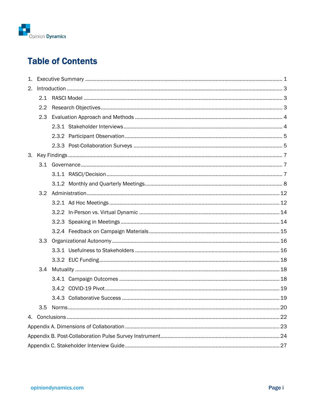

# **Table of Contents**

| 2. |     |  |  |  |
|----|-----|--|--|--|
|    |     |  |  |  |
|    | 2.2 |  |  |  |
|    | 2.3 |  |  |  |
|    |     |  |  |  |
|    |     |  |  |  |
|    |     |  |  |  |
|    |     |  |  |  |
|    |     |  |  |  |
|    |     |  |  |  |
|    |     |  |  |  |
|    |     |  |  |  |
|    |     |  |  |  |
|    |     |  |  |  |
|    |     |  |  |  |
|    |     |  |  |  |
|    |     |  |  |  |
|    |     |  |  |  |
|    |     |  |  |  |
|    | 3.4 |  |  |  |
|    |     |  |  |  |
|    |     |  |  |  |
|    |     |  |  |  |
|    |     |  |  |  |
|    |     |  |  |  |
|    |     |  |  |  |
|    |     |  |  |  |
|    |     |  |  |  |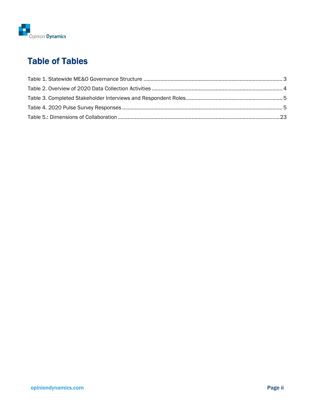

# Table of Tables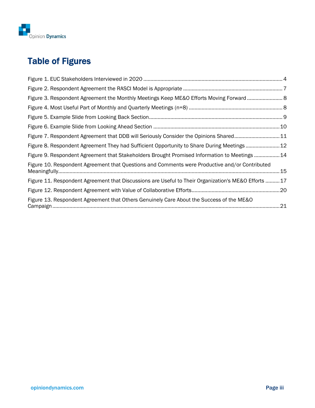

# Table of Figures

| Figure 3. Respondent Agreement the Monthly Meetings Keep ME&O Efforts Moving Forward  8             |  |
|-----------------------------------------------------------------------------------------------------|--|
|                                                                                                     |  |
|                                                                                                     |  |
|                                                                                                     |  |
| Figure 7. Respondent Agreement that DDB will Seriously Consider the Opinions Shared11               |  |
| Figure 8. Respondent Agreement They had Sufficient Opportunity to Share During Meetings12           |  |
| Figure 9. Respondent Agreement that Stakeholders Brought Promised Information to Meetings 14        |  |
| Figure 10. Respondent Agreement that Questions and Comments were Productive and/or Contributed      |  |
| Figure 11. Respondent Agreement that Discussions are Useful to Their Organization's ME&O Efforts 17 |  |
|                                                                                                     |  |
| Figure 13. Respondent Agreement that Others Genuinely Care About the Success of the ME&O            |  |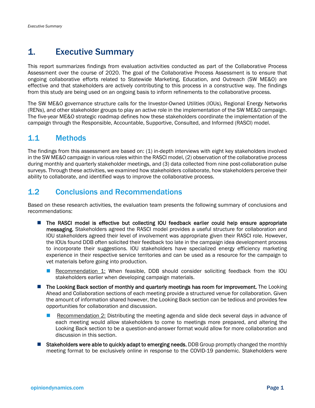# 1. Executive Summary

This report summarizes findings from evaluation activities conducted as part of the Collaborative Process Assessment over the course of 2020. The goal of the Collaborative Process Assessment is to ensure that ongoing collaborative efforts related to Statewide Marketing, Education, and Outreach (SW ME&O) are effective and that stakeholders are actively contributing to this process in a constructive way. The findings from this study are being used on an ongoing basis to inform refinements to the collaborative process.

The SW ME&O governance structure calls for the Investor-Owned Utilities (IOUs), Regional Energy Networks (RENs), and other stakeholder groups to play an active role in the implementation of the SW ME&O campaign. The five-year ME&O strategic roadmap defines how these stakeholders coordinate the implementation of the campaign through the Responsible, Accountable, Supportive, Consulted, and Informed (RASCI) model.

# 1.1 Methods

The findings from this assessment are based on: (1) in-depth interviews with eight key stakeholders involved in the SW ME&O campaign in various roles within the RASCI model, (2) observation of the collaborative process during monthly and quarterly stakeholder meetings, and (3) data collected from nine post-collaboration pulse surveys. Through these activities, we examined how stakeholders collaborate, how stakeholders perceive their ability to collaborate, and identified ways to improve the collaborative process.

# 1.2 Conclusions and Recommendations

Based on these research activities, the evaluation team presents the following summary of conclusions and recommendations:

- The RASCI model is effective but collecting IOU feedback earlier could help ensure appropriate messaging. Stakeholders agreed the RASCI model provides a useful structure for collaboration and IOU stakeholders agreed their level of involvement was appropriate given their RASCI role. However, the IOUs found DDB often solicited their feedback too late in the campaign idea development process to incorporate their suggestions. IOU stakeholders have specialized energy efficiency marketing experience in their respective service territories and can be used as a resource for the campaign to vet materials before going into production.
	- **Recommendation 1:** When feasible, DDB should consider soliciting feedback from the IOU stakeholders earlier when developing campaign materials.
- **The Looking Back section of monthly and quarterly meetings has room for improvement.** The Looking Ahead and Collaboration sections of each meeting provide a structured venue for collaboration. Given the amount of information shared however, the Looking Back section can be tedious and provides few opportunities for collaboration and discussion.
	- **Recommendation 2: Distributing the meeting agenda and slide deck several days in advance of** each meeting would allow stakeholders to come to meetings more prepared, and altering the Looking Back section to be a question-and-answer format would allow for more collaboration and discussion in this section.
- Stakeholders were able to quickly adapt to emerging needs. DDB Group promptly changed the monthly meeting format to be exclusively online in response to the COVID-19 pandemic. Stakeholders were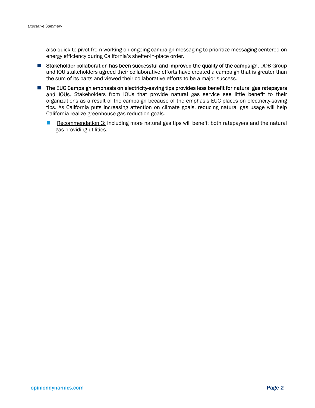also quick to pivot from working on ongoing campaign messaging to prioritize messaging centered on energy efficiency during California's shelter-in-place order.

- Stakeholder collaboration has been successful and improved the quality of the campaign. DDB Group and IOU stakeholders agreed their collaborative efforts have created a campaign that is greater than the sum of its parts and viewed their collaborative efforts to be a major success.
- **The EUC Campaign emphasis on electricity-saving tips provides less benefit for natural gas ratepayers** and IOUs. Stakeholders from IOUs that provide natural gas service see little benefit to their organizations as a result of the campaign because of the emphasis EUC places on electricity-saving tips. As California puts increasing attention on climate goals, reducing natural gas usage will help California realize greenhouse gas reduction goals.
	- Recommendation 3: Including more natural gas tips will benefit both ratepayers and the natural gas-providing utilities.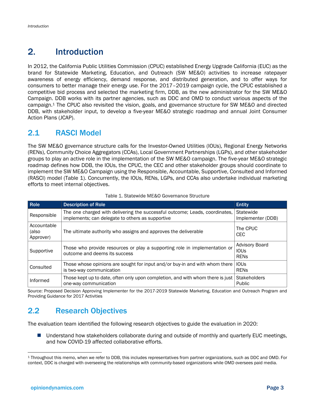# 2. Introduction

In 2012, the California Public Utilities Commission (CPUC) established Energy Upgrade California (EUC) as the brand for Statewide Marketing, Education, and Outreach (SW ME&O) activities to increase ratepayer awareness of energy efficiency, demand response, and distributed generation, and to offer ways for consumers to better manage their energy use. For the 2017–2019 campaign cycle, the CPUC established a competitive bid process and selected the marketing firm, DDB, as the new administrator for the SW ME&O Campaign. DDB works with its partner agencies, such as DDC and OMD to conduct various aspects of the campaign.1 The CPUC also revisited the vision, goals, and governance structure for SW ME&O and directed DDB, with stakeholder input, to develop a five-year ME&O strategic roadmap and annual Joint Consumer Action Plans (JCAP).

# 2.1 RASCI Model

The SW ME&O governance structure calls for the Investor-Owned Utilities (IOUs), Regional Energy Networks (RENs), Community Choice Aggregators (CCAs), Local Government Partnerships (LGPs), and other stakeholder groups to play an active role in the implementation of the SW ME&O campaign. The five-year ME&O strategic roadmap defines how DDB, the IOUs, the CPUC, the CEC and other stakeholder groups should coordinate to implement the SW ME&O Campaign using the Responsible, Accountable, Supportive, Consulted and Informed (RASCI) model (Table 1). Concurrently, the IOUs, RENs, LGPs, and CCAs also undertake individual marketing efforts to meet internal objectives.

| <b>Role</b>                       | <b>Description of Role</b>                                                                                                      | <b>Entity</b>                                       |
|-----------------------------------|---------------------------------------------------------------------------------------------------------------------------------|-----------------------------------------------------|
| Responsible                       | The one charged with delivering the successful outcome; Leads, coordinates,<br>implements; can delegate to others as supportive | Statewide<br>Implementer (DDB)                      |
| Accountable<br>(also<br>Approver) | The ultimate authority who assigns and approves the deliverable                                                                 | The CPUC<br>CEC.                                    |
| Supportive                        | Those who provide resources or play a supporting role in implementation or<br>outcome and deems its success                     | <b>Advisory Board</b><br><b>IOUS</b><br><b>RENS</b> |
| Consulted                         | Those whose opinions are sought for input and/or buy-in and with whom there<br>is two-way communication                         | <b>IOUS</b><br><b>RENS</b>                          |
| Informed                          | Those kept up to date, often only upon completion, and with whom there is just<br>one-way communication                         | <b>Stakeholders</b><br>Public                       |

#### Table 1. Statewide ME&O Governance Structure

Source: Proposed Decision Approving Implementer for the 2017-2019 Statewide Marketing, Education and Outreach Program and Providing Guidance for 2017 Activities

# 2.2 Research Objectives

The evaluation team identified the following research objectives to guide the evaluation in 2020:

■ Understand how stakeholders collaborate during and outside of monthly and quarterly EUC meetings, and how COVID-19 affected collaborative efforts.

<sup>1</sup> Throughout this memo, when we refer to DDB, this includes representatives from partner organizations, such as DDC and OMD. For context, DDC is charged with overseeing the relationships with community-based organizations while OMD oversees paid media.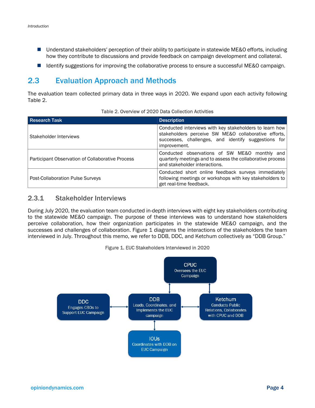- Understand stakeholders' perception of their ability to participate in statewide ME&O efforts, including how they contribute to discussions and provide feedback on campaign development and collateral.
- Identify suggestions for improving the collaborative process to ensure a successful ME&O campaign.

# 2.3 Evaluation Approach and Methods

The evaluation team collected primary data in three ways in 2020. We expand upon each activity following Table 2.

| <b>Research Task</b>                             | <b>Description</b>                                                                                                                                                                     |  |
|--------------------------------------------------|----------------------------------------------------------------------------------------------------------------------------------------------------------------------------------------|--|
| Stakeholder Interviews                           | Conducted interviews with key stakeholders to learn how<br>stakeholders perceive SW ME&O collaborative efforts,<br>successes, challenges, and identify suggestions for<br>improvement. |  |
| Participant Observation of Collaborative Process | Conducted observations of SW ME&O monthly and<br>quarterly meetings and to assess the collaborative process<br>and stakeholder interactions.                                           |  |
| Post-Collaboration Pulse Surveys                 | Conducted short online feedback surveys immediately<br>following meetings or workshops with key stakeholders to<br>get real-time feedback.                                             |  |

Table 2. Overview of 2020 Data Collection Activities

#### 2.3.1 Stakeholder Interviews

During July 2020, the evaluation team conducted in-depth interviews with eight key stakeholders contributing to the statewide ME&O campaign. The purpose of these interviews was to understand how stakeholders perceive collaboration, how their organization participates in the statewide ME&O campaign, and the successes and challenges of collaboration. Figure 1 diagrams the interactions of the stakeholders the team interviewed in July. Throughout this memo, we refer to DDB, DDC, and Ketchum collectively as "DDB Group."

#### Figure 1. EUC Stakeholders Interviewed in 2020

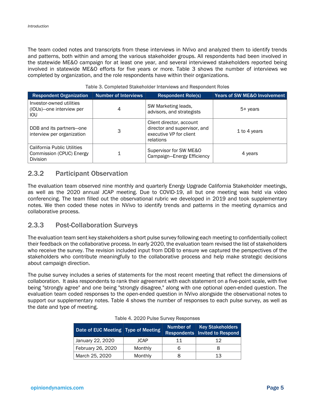The team coded notes and transcripts from these interviews in NVivo and analyzed them to identify trends and patterns, both within and among the various stakeholder groups. All respondents had been involved in the statewide ME&O campaign for at least one year, and several interviewed stakeholders reported being involved in statewide ME&O efforts for five years or more. Table 3 shows the number of interviews we completed by organization, and the role respondents have within their organizations.

| <b>Respondent Organization</b>                                      | <b>Number of Interviews</b> | <b>Respondent Role(s)</b>                                                                        | <b>Years of SW ME&amp;O Involvement</b> |
|---------------------------------------------------------------------|-----------------------------|--------------------------------------------------------------------------------------------------|-----------------------------------------|
| Investor-owned utilities<br>(IOUs)-one interview per<br>IOU         | 4                           | SW Marketing leads,<br>advisors, and strategists                                                 | 5+ years                                |
| DDB and its partners-one<br>interview per organization              | 3                           | Client director, account<br>director and supervisor, and<br>executive VP for client<br>relations | 1 to 4 years                            |
| California Public Utilities<br>Commission (CPUC) Energy<br>Division |                             | Supervisor for SW ME&O<br>Campaign-Energy Efficiency                                             | 4 years                                 |

#### Table 3. Completed Stakeholder Interviews and Respondent Roles

#### 2.3.2 Participant Observation

The evaluation team observed nine monthly and quarterly Energy Upgrade California Stakeholder meetings, as well as the 2020 annual JCAP meeting. Due to COVID-19, all but one meeting was held via video conferencing. The team filled out the observational rubric we developed in 2019 and took supplementary notes. We then coded these notes in NVivo to identify trends and patterns in the meeting dynamics and collaborative process.

#### 2.3.3 Post-Collaboration Surveys

The evaluation team sent key stakeholders a short pulse survey following each meeting to confidentially collect their feedback on the collaborative process. In early 2020, the evaluation team revised the list of stakeholders who receive the survey. The revision included input from DDB to ensure we captured the perspectives of the stakeholders who contribute meaningfully to the collaborative process and help make strategic decisions about campaign direction.

The pulse survey includes a series of statements for the most recent meeting that reflect the dimensions of collaboration. It asks respondents to rank their agreement with each statement on a five-point scale, with five being "strongly agree" and one being "strongly disagree," along with one optional open-ended question. The evaluation team coded responses to the open-ended question in NVivo alongside the observational notes to support our supplementary notes. Table 4 shows the number of responses to each pulse survey, as well as the date and type of meeting.

| Date of EUC Meeting Type of Meeting |             | Number of | <b>Key Stakeholders</b><br>Respondents   Invited to Respond |
|-------------------------------------|-------------|-----------|-------------------------------------------------------------|
| January 22, 2020                    | <b>JCAP</b> | 11        | 1 2                                                         |
| February 26, 2020                   | Monthly     |           |                                                             |
| March 25, 2020                      | Monthly     |           | 13                                                          |

#### Table 4. 2020 Pulse Survey Responses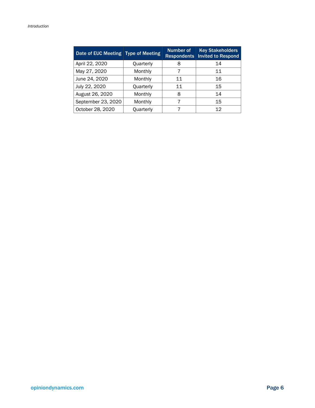| Date of EUC Meeting   Type of Meeting |           | Number of<br><b>Respondents</b> | <b>Key Stakeholders</b><br><b>Invited to Respond</b> |
|---------------------------------------|-----------|---------------------------------|------------------------------------------------------|
| April 22, 2020                        | Quarterly | 8                               | 14                                                   |
| May 27, 2020                          | Monthly   |                                 | 11                                                   |
| June 24, 2020                         | Monthly   | 11                              | 16                                                   |
| July 22, 2020<br><b>Quarterly</b>     |           | 11                              | 15                                                   |
| August 26, 2020                       | Monthly   | 8                               | 14                                                   |
| September 23, 2020                    | Monthly   |                                 | 15                                                   |
| October 28, 2020                      | Ouarterly |                                 | 12                                                   |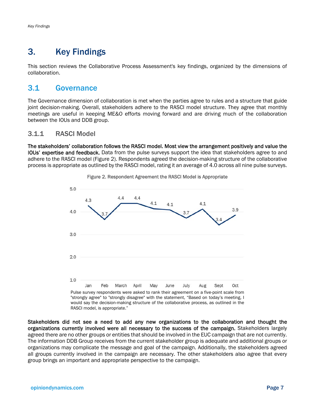# 3. Key Findings

This section reviews the Collaborative Process Assessment's key findings, organized by the dimensions of collaboration.

### 3.1 Governance

The Governance dimension of collaboration is met when the parties agree to rules and a structure that guide joint decision-making. Overall, stakeholders adhere to the RASCI model structure. They agree that monthly meetings are useful in keeping ME&O efforts moving forward and are driving much of the collaboration between the IOUs and DDB group.

#### 3.1.1 RASCI Model

The stakeholders' collaboration follows the RASCI model. Most view the arrangement positively and value the IOUs' expertise and feedback. Data from the pulse surveys support the idea that stakeholders agree to and adhere to the RASCI model (Figure 2). Respondents agreed the decision-making structure of the collaborative process is appropriate as outlined by the RASCI model, rating it an average of 4.0 across all nine pulse surveys.



Figure 2. Respondent Agreement the RASCI Model is Appropriate

"strongly agree" to "strongly disagree" with the statement, "Based on today's meeting, I would say the decision-making structure of the collaborative process, as outlined in the RASCI model, is appropriate."

Stakeholders did not see a need to add any new organizations to the collaboration and thought the organizations currently involved were all necessary to the success of the campaign. Stakeholders largely agreed there are no other groups or entities that should be involved in the EUC campaign that are not currently. The information DDB Group receives from the current stakeholder group is adequate and additional groups or organizations may complicate the message and goal of the campaign. Additionally, the stakeholders agreed all groups currently involved in the campaign are necessary. The other stakeholders also agree that every group brings an important and appropriate perspective to the campaign.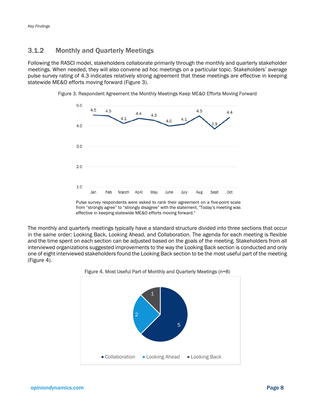#### 3.1.2 Monthly and Quarterly Meetings

Following the RASCI model, stakeholders collaborate primarily through the monthly and quarterly stakeholder meetings. When needed, they will also convene ad hoc meetings on a particular topic. Stakeholders' average pulse survey rating of 4.3 indicates relatively strong agreement that these meetings are effective in keeping statewide ME&O efforts moving forward (Figure 3).





The monthly and quarterly meetings typically have a standard structure divided into three sections that occur in the same order: Looking Back, Looking Ahead, and Collaboration. The agenda for each meeting is flexible and the time spent on each section can be adjusted based on the goals of the meeting. Stakeholders from all interviewed organizations suggested improvements to the way the Looking Back section is conducted and only one of eight interviewed stakeholders found the Looking Back section to be the most useful part of the meeting (Figure 4).



#### Figure 4. Most Useful Part of Monthly and Quarterly Meetings (n=8)

Pulse survey respondents were asked to rank their agreement on a five-point scale from "strongly agree" to "strongly disagree" with the statement, "Today's meeting was effective in keeping statewide ME&O efforts moving forward."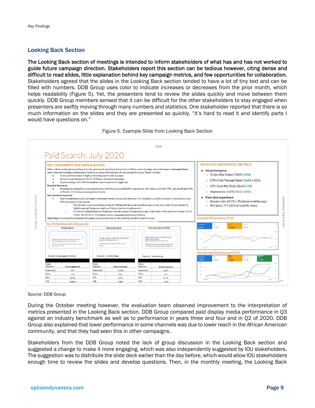#### Looking Back Section

The Looking Back section of meetings is intended to inform stakeholders of what has and has not worked to guide future campaign direction. Stakeholders report this section can be tedious however, citing dense and difficult to read slides, little explanation behind key campaign metrics, and few opportunities for collaboration. Stakeholders agreed that the slides in the Looking Back section tended to have a lot of tiny text and can be filled with numbers. DDB Group uses color to indicate increases or decreases from the prior month, which helps readability (Figure 5). Yet, the presenters tend to review the slides quickly and move between them quickly. DDB Group members sensed that it can be difficult for the other stakeholders to stay engaged when presenters are swiftly moving through many numbers and statistics. One stakeholder reported that there is so much information on the slides and they are presented so quickly, "it's hard to read it and identify parts I would have questions on."





#### Source: DDB Group

During the October meeting however, the evaluation team observed improvement to the interpretation of metrics presented in the Looking Back section. DDB Group compared paid display media performance in Q3 against an industry benchmark as well as to performance in years three and four and in Q2 of 2020. DDB Group also explained that lower performance in some channels was due to lower reach in the African American community, and that they had seen this in other campaigns.

Stakeholders from the DDB Group noted the lack of group discussion in the Looking Back section and suggested a change to make it more engaging, which was also independently suggested by IOU stakeholders. The suggestion was to distribute the slide deck earlier than the day before, which would allow IOU stakeholders enough time to review the slides and develop questions. Then, in the monthly meeting, the Looking Back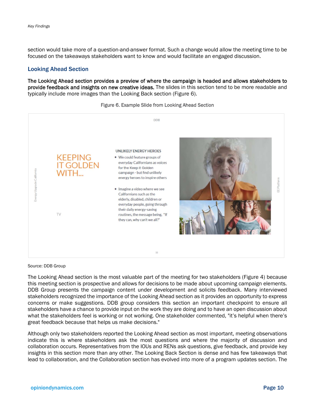section would take more of a question-and-answer format. Such a change would allow the meeting time to be focused on the takeaways stakeholders want to know and would facilitate an engaged discussion.

#### Looking Ahead Section

The Looking Ahead section provides a preview of where the campaign is headed and allows stakeholders to provide feedback and insights on new creative ideas. The slides in this section tend to be more readable and typically include more images than the Looking Back section (Figure 6).



#### Figure 6. Example Slide from Looking Ahead Section

Source: DDB Group

The Looking Ahead section is the most valuable part of the meeting for two stakeholders (Figure 4) because this meeting section is prospective and allows for decisions to be made about upcoming campaign elements. DDB Group presents the campaign content under development and solicits feedback. Many interviewed stakeholders recognized the importance of the Looking Ahead section as it provides an opportunity to express concerns or make suggestions. DDB group considers this section an important checkpoint to ensure all stakeholders have a chance to provide input on the work they are doing and to have an open discussion about what the stakeholders feel is working or not working. One stakeholder commented, "it's helpful when there's great feedback because that helps us make decisions."

Although only two stakeholders reported the Looking Ahead section as most important, meeting observations indicate this is where stakeholders ask the most questions and where the majority of discussion and collaboration occurs. Representatives from the IOUs and RENs ask questions, give feedback, and provide key insights in this section more than any other. The Looking Back Section is dense and has few takeaways that lead to collaboration, and the Collaboration section has evolved into more of a program updates section. The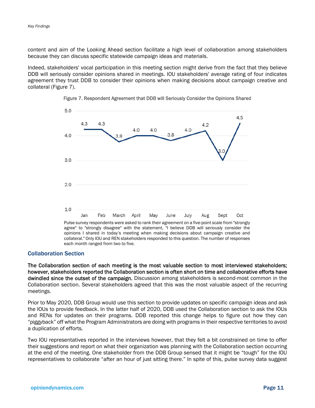content and aim of the Looking Ahead section facilitate a high level of collaboration among stakeholders because they can discuss specific statewide campaign ideas and materials.

Indeed, stakeholders' vocal participation in this meeting section might derive from the fact that they believe DDB will seriously consider opinions shared in meetings. IOU stakeholders' average rating of four indicates agreement they trust DDB to consider their opinions when making decisions about campaign creative and collateral (Figure 7).





Pulse survey respondents were asked to rank their agreement on a five-point scale from "strongly agree" to "strongly disagree" with the statement, "I believe DDB will seriously consider the opinions I shared in today's meeting when making decisions about campaign creative and collateral." Only IOU and REN stakeholders responded to this question. The number of responses each month ranged from two to five.

#### Collaboration Section

The Collaboration section of each meeting is the most valuable section to most interviewed stakeholders; however, stakeholders reported the Collaboration section is often short on time and collaborative efforts have dwindled since the outset of the campaign. Discussion among stakeholders is second-most common in the Collaboration section. Several stakeholders agreed that this was the most valuable aspect of the recurring meetings.

Prior to May 2020, DDB Group would use this section to provide updates on specific campaign ideas and ask the IOUs to provide feedback. In the latter half of 2020, DDB used the Collaboration section to ask the IOUs and RENs for updates on their programs. DDB reported this change helps to figure out how they can "piggyback" off what the Program Administrators are doing with programs in their respective territories to avoid a duplication of efforts.

Two IOU representatives reported in the interviews however, that they felt a bit constrained on time to offer their suggestions and report on what their organization was planning with the Collaboration section occurring at the end of the meeting. One stakeholder from the DDB Group sensed that it might be "tough" for the IOU representatives to collaborate "after an hour of just sitting there." In spite of this, pulse survey data suggest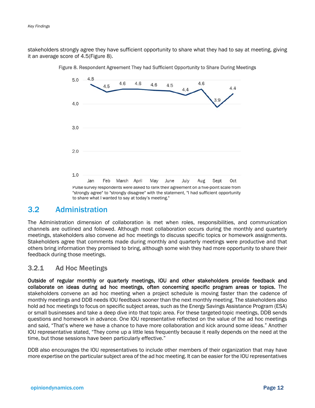stakeholders strongly agree they have sufficient opportunity to share what they had to say at meeting, giving it an average score of 4.5(Figure 8).



Figure 8. Respondent Agreement They had Sufficient Opportunity to Share During Meetings

#### 3.2 Administration

The Administration dimension of collaboration is met when roles, responsibilities, and communication channels are outlined and followed. Although most collaboration occurs during the monthly and quarterly meetings, stakeholders also convene ad hoc meetings to discuss specific topics or homework assignments. Stakeholders agree that comments made during monthly and quarterly meetings were productive and that others bring information they promised to bring, although some wish they had more opportunity to share their feedback during those meetings.

#### 3.2.1 Ad Hoc Meetings

Outside of regular monthly or quarterly meetings, IOU and other stakeholders provide feedback and collaborate on ideas during ad hoc meetings, often concerning specific program areas or topics. The stakeholders convene an ad hoc meeting when a project schedule is moving faster than the cadence of monthly meetings and DDB needs IOU feedback sooner than the next monthly meeting. The stakeholders also hold ad hoc meetings to focus on specific subject areas, such as the Energy Savings Assistance Program (ESA) or small businesses and take a deep dive into that topic area. For these targeted-topic meetings, DDB sends questions and homework in advance. One IOU representative reflected on the value of the ad hoc meetings and said, "That's where we have a chance to have more collaboration and kick around some ideas." Another IOU representative stated, "They come up a little less frequently because it really depends on the need at the time, but those sessions have been particularly effective."

DDB also encourages the IOU representatives to include other members of their organization that may have more expertise on the particular subject area of the ad hoc meeting. It can be easier for the IOU representatives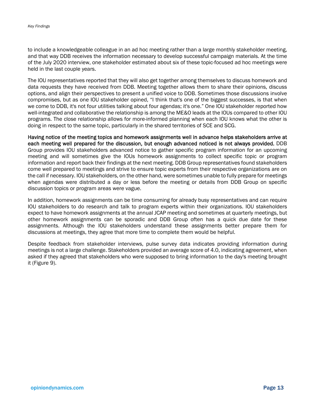to include a knowledgeable colleague in an ad hoc meeting rather than a large monthly stakeholder meeting, and that way DDB receives the information necessary to develop successful campaign materials. At the time of the July 2020 interview, one stakeholder estimated about six of these topic-focused ad hoc meetings were held in the last couple years.

The IOU representatives reported that they will also get together among themselves to discuss homework and data requests they have received from DDB. Meeting together allows them to share their opinions, discuss options, and align their perspectives to present a unified voice to DDB. Sometimes those discussions involve compromises, but as one IOU stakeholder opined, "I think that's one of the biggest successes, is that when we come to DDB, it's not four utilities talking about four agendas; it's one." One IOU stakeholder reported how well-integrated and collaborative the relationship is among the ME&O leads at the IOUs compared to other IOU programs. The close relationship allows for more-informed planning when each IOU knows what the other is doing in respect to the same topic, particularly in the shared territories of SCE and SCG.

Having notice of the meeting topics and homework assignments well in advance helps stakeholders arrive at each meeting well prepared for the discussion, but enough advanced noticed is not always provided. DDB Group provides IOU stakeholders advanced notice to gather specific program information for an upcoming meeting and will sometimes give the IOUs homework assignments to collect specific topic or program information and report back their findings at the next meeting. DDB Group representatives found stakeholders come well prepared to meetings and strive to ensure topic experts from their respective organizations are on the call if necessary. IOU stakeholders, on the other hand, were sometimes unable to fully prepare for meetings when agendas were distributed a day or less before the meeting or details from DDB Group on specific discussion topics or program areas were vague.

In addition, homework assignments can be time consuming for already busy representatives and can require IOU stakeholders to do research and talk to program experts within their organizations. IOU stakeholders expect to have homework assignments at the annual JCAP meeting and sometimes at quarterly meetings, but other homework assignments can be sporadic and DDB Group often has a quick due date for these assignments. Although the IOU stakeholders understand these assignments better prepare them for discussions at meetings, they agree that more time to complete them would be helpful.

Despite feedback from stakeholder interviews, pulse survey data indicates providing information during meetings is not a large challenge. Stakeholders provided an average score of 4.0, indicating agreement, when asked if they agreed that stakeholders who were supposed to bring information to the day's meeting brought it (Figure 9).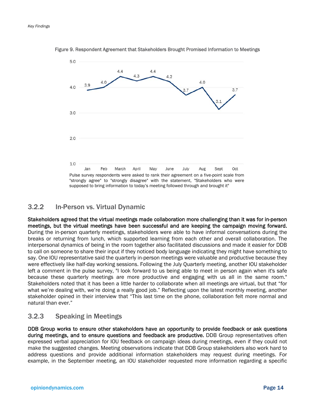

Figure 9. Respondent Agreement that Stakeholders Brought Promised Information to Meetings

#### 3.2.2 In-Person vs. Virtual Dynamic

Stakeholders agreed that the virtual meetings made collaboration more challenging than it was for in-person meetings, but the virtual meetings have been successful and are keeping the campaign moving forward. During the in-person quarterly meetings, stakeholders were able to have informal conversations during the breaks or returning from lunch, which supported learning from each other and overall collaboration. The interpersonal dynamics of being in the room together also facilitated discussions and made it easier for DDB to call on someone to share their input if they noticed body language indicating they might have something to say. One IOU representative said the quarterly in-person meetings were valuable and productive because they were effectively like half-day working sessions. Following the July Quarterly meeting, another IOU stakeholder left a comment in the pulse survey, "I look forward to us being able to meet in person again when it's safe because these quarterly meetings are more productive and engaging with us all in the same room." Stakeholders noted that it has been a little harder to collaborate when all meetings are virtual, but that "for what we're dealing with, we're doing a really good job." Reflecting upon the latest monthly meeting, another stakeholder opined in their interview that "This last time on the phone, collaboration felt more normal and natural than ever."

#### 3.2.3 Speaking in Meetings

DDB Group works to ensure other stakeholders have an opportunity to provide feedback or ask questions during meetings, and to ensure questions and feedback are productive. DDB Group representatives often expressed verbal appreciation for IOU feedback on campaign ideas during meetings, even if they could not make the suggested changes. Meeting observations indicate that DDB Group stakeholders also work hard to address questions and provide additional information stakeholders may request during meetings. For example, in the September meeting, an IOU stakeholder requested more information regarding a specific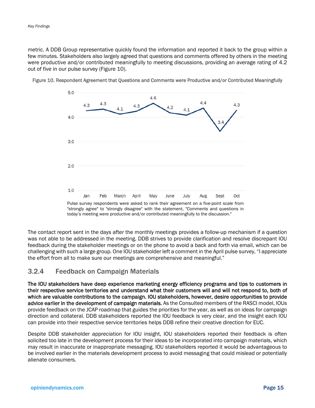metric. A DDB Group representative quickly found the information and reported it back to the group within a few minutes. Stakeholders also largely agreed that questions and comments offered by others in the meeting were productive and/or contributed meaningfully to meeting discussions, providing an average rating of 4.2 out of five in our pulse survey (Figure 10).





The contact report sent in the days after the monthly meetings provides a follow-up mechanism if a question was not able to be addressed in the meeting. DDB strives to provide clarification and resolve discrepant IOU feedback during the stakeholder meetings or on the phone to avoid a back and forth via email, which can be challenging with such a large group. One IOU stakeholder left a comment in the April pulse survey, "I appreciate the effort from all to make sure our meetings are comprehensive and meaningful."

#### 3.2.4 Feedback on Campaign Materials

The IOU stakeholders have deep experience marketing energy efficiency programs and tips to customers in their respective service territories and understand what their customers will and will not respond to, both of which are valuable contributions to the campaign. IOU stakeholders, however, desire opportunities to provide advice earlier in the development of campaign materials. As the Consulted members of the RASCI model, IOUs provide feedback on the JCAP roadmap that guides the priorities for the year, as well as on ideas for campaign direction and collateral. DDB stakeholders reported the IOU feedback is very clear, and the insight each IOU can provide into their respective service territories helps DDB refine their creative direction for EUC.

Despite DDB stakeholder appreciation for IOU insight, IOU stakeholders reported their feedback is often solicited too late in the development process for their ideas to be incorporated into campaign materials, which may result in inaccurate or inappropriate messaging. IOU stakeholders reported it would be advantageous to be involved earlier in the materials development process to avoid messaging that could mislead or potentially alienate consumers.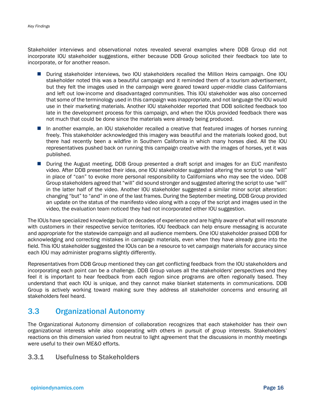Stakeholder interviews and observational notes revealed several examples where DDB Group did not incorporate IOU stakeholder suggestions, either because DDB Group solicited their feedback too late to incorporate, or for another reason.

- During stakeholder interviews, two IOU stakeholders recalled the Million Heirs campaign. One IOU stakeholder noted this was a beautiful campaign and it reminded them of a tourism advertisement, but they felt the images used in the campaign were geared toward upper-middle class Californians and left out low-income and disadvantaged communities. This IOU stakeholder was also concerned that some of the terminology used in this campaign was inappropriate, and not language the IOU would use in their marketing materials. Another IOU stakeholder reported that DDB solicited feedback too late in the development process for this campaign, and when the IOUs provided feedback there was not much that could be done since the materials were already being produced.
- In another example, an IOU stakeholder recalled a creative that featured images of horses running freely. This stakeholder acknowledged this imagery was beautiful and the materials looked good, but there had recently been a wildfire in Southern California in which many horses died. All the IOU representatives pushed back on running this campaign creative with the images of horses, yet it was published.
- **During the August meeting, DDB Group presented a draft script and images for an EUC manifesto** video. After DDB presented their idea, one IOU stakeholder suggested altering the script to use "will" in place of "can" to evoke more personal responsibility to Californians who may see the video. DDB Group stakeholders agreed that "will" did sound stronger and suggested altering the script to use "will" in the latter half of the video. Another IOU stakeholder suggested a similar minor script alteration: changing "but" to "and" in one of the last frames. During the September meeting, DDB Group provided an update on the status of the manifesto video along with a copy of the script and images used in the video, the evaluation team noticed they had not incorporated either IOU suggestion.

The IOUs have specialized knowledge built on decades of experience and are highly aware of what will resonate with customers in their respective service territories. IOU feedback can help ensure messaging is accurate and appropriate for the statewide campaign and all audience members. One IOU stakeholder praised DDB for acknowledging and correcting mistakes in campaign materials, even when they have already gone into the field. This IOU stakeholder suggested the IOUs can be a resource to vet campaign materials for accuracy since each IOU may administer programs slightly differently.

Representatives from DDB Group mentioned they can get conflicting feedback from the IOU stakeholders and incorporating each point can be a challenge. DDB Group values all the stakeholders' perspectives and they feel it is important to hear feedback from each region since programs are often regionally based. They understand that each IOU is unique, and they cannot make blanket statements in communications. DDB Group is actively working toward making sure they address all stakeholder concerns and ensuring all stakeholders feel heard.

# 3.3 Organizational Autonomy

The Organizational Autonomy dimension of collaboration recognizes that each stakeholder has their own organizational interests while also cooperating with others in pursuit of group interests. Stakeholders' reactions on this dimension varied from neutral to light agreement that the discussions in monthly meetings were useful to their own ME&O efforts.

#### 3.3.1 Usefulness to Stakeholders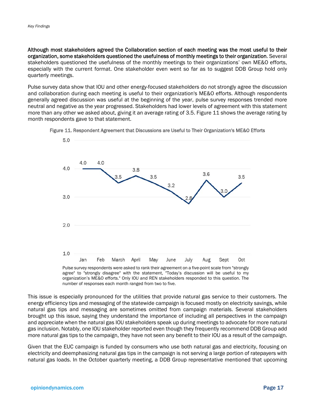5.0

Although most stakeholders agreed the Collaboration section of each meeting was the most useful to their organization, some stakeholders questioned the usefulness of monthly meetings to their organization. Several stakeholders questioned the usefulness of the monthly meetings to their organizations' own ME&O efforts, especially with the current format. One stakeholder even went so far as to suggest DDB Group hold only quarterly meetings.

Pulse survey data show that IOU and other energy-focused stakeholders do not strongly agree the discussion and collaboration during each meeting is useful to their organization's ME&O efforts. Although respondents generally agreed discussion was useful at the beginning of the year, pulse survey responses trended more neutral and negative as the year progressed. Stakeholders had lower levels of agreement with this statement more than any other we asked about, giving it an average rating of 3.5. Figure 11 shows the average rating by month respondents gave to that statement.



Figure 11. Respondent Agreement that Discussions are Useful to Their Organization's ME&O Efforts

Pulse survey respondents were asked to rank their agreement on a five-point scale from "strongly agree" to "strongly disagree" with the statement, "Today's discussion will be useful to my organization's ME&O efforts." Only IOU and REN stakeholders responded to this question. The number of responses each month ranged from two to five.

This issue is especially pronounced for the utilities that provide natural gas service to their customers. The energy efficiency tips and messaging of the statewide campaign is focused mostly on electricity savings, while natural gas tips and messaging are sometimes omitted from campaign materials. Several stakeholders brought up this issue, saying they understand the importance of including all perspectives in the campaign and appreciate when the natural gas IOU stakeholders speak up during meetings to advocate for more natural gas inclusion. Notably, one IOU stakeholder reported even though they frequently recommend DDB Group add more natural gas tips to the campaign, they have not seen any benefit to their IOU as a result of the campaign.

Given that the EUC campaign is funded by consumers who use both natural gas and electricity, focusing on electricity and deemphasizing natural gas tips in the campaign is not serving a large portion of ratepayers with natural gas loads. In the October quarterly meeting, a DDB Group representative mentioned that upcoming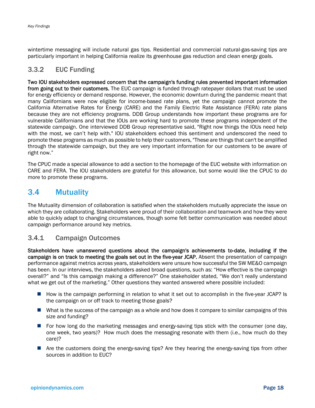wintertime messaging will include natural gas tips. Residential and commercial natural-gas-saving tips are particularly important in helping California realize its greenhouse gas reduction and clean energy goals.

#### 3.3.2 EUC Funding

Two IOU stakeholders expressed concern that the campaign's funding rules prevented important information from going out to their customers. The EUC campaign is funded through ratepayer dollars that must be used for energy efficiency or demand response. However, the economic downturn during the pandemic meant that many Californians were now eligible for income-based rate plans, yet the campaign cannot promote the California Alternative Rates for Energy (CARE) and the Family Electric Rate Assistance (FERA) rate plans because they are not efficiency programs. DDB Group understands how important these programs are for vulnerable Californians and that the IOUs are working hard to promote these programs independent of the statewide campaign. One interviewed DDB Group representative said, "Right now things the IOUs need help with the most, we can't help with." IOU stakeholders echoed this sentiment and underscored the need to promote these programs as much as possible to help their customers, "These are things that can't be amplified through the statewide campaign, but they are very important information for our customers to be aware of right now."

The CPUC made a special allowance to add a section to the homepage of the EUC website with information on CARE and FERA. The IOU stakeholders are grateful for this allowance, but some would like the CPUC to do more to promote these programs.

### 3.4 Mutuality

The Mutuality dimension of collaboration is satisfied when the stakeholders mutually appreciate the issue on which they are collaborating. Stakeholders were proud of their collaboration and teamwork and how they were able to quickly adapt to changing circumstances, though some felt better communication was needed about campaign performance around key metrics.

#### 3.4.1 Campaign Outcomes

Stakeholders have unanswered questions about the campaign's achievements to-date, including if the campaign is on track to meeting the goals set out in the five-year JCAP. Absent the presentation of campaign performance against metrics across years, stakeholders were unsure how successful the SW ME&O campaign has been. In our interviews, the stakeholders asked broad questions, such as: "How effective is the campaign overall?" and "Is this campaign making a difference?" One stakeholder stated, "We don't really understand what we get out of the marketing." Other questions they wanted answered where possible included:

- How is the campaign performing in relation to what it set out to accomplish in the five-year JCAP? Is the campaign on or off track to meeting those goals?
- What is the success of the campaign as a whole and how does it compare to similar campaigns of this size and funding?
- **For how long do the marketing messages and energy-saving tips stick with the consumer (one day,** one week, two years)? How much does the messaging resonate with them (i.e., how much do they care)?
- Are the customers doing the energy-saving tips? Are they hearing the energy-saving tips from other sources in addition to EUC?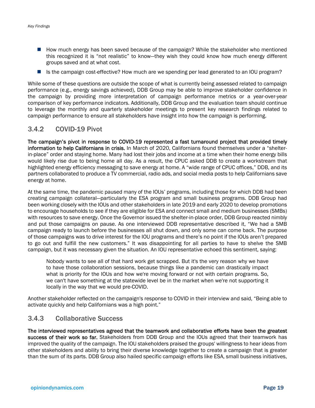- How much energy has been saved because of the campaign? While the stakeholder who mentioned this recognized it is "not realistic" to know—they wish they could know how much energy different groups saved and at what cost.
- Is the campaign cost-effective? How much are we spending per lead generated to an IOU program?

While some of these questions are outside the scope of what is currently being assessed related to campaign performance (e.g., energy savings achieved), DDB Group may be able to improve stakeholder confidence in the campaign by providing more interpretation of campaign performance metrics or a year-over-year comparison of key performance indicators. Additionally, DDB Group and the evaluation team should continue to leverage the monthly and quarterly stakeholder meetings to present key research findings related to campaign performance to ensure all stakeholders have insight into how the campaign is performing.

#### 3.4.2 COVID-19 Pivot

The campaign's pivot in response to COVID-19 represented a fast turnaround project that provided timely information to help Californians in crisis. In March of 2020, Californians found themselves under a "shelterin-place" order and staying home. Many had lost their jobs and income at a time when their home energy bills would likely rise due to being home all day. As a result, the CPUC asked DDB to create a workstream that highlighted energy efficiency messaging to save energy at home. A "wide range of CPUC offices," DDB, and its partners collaborated to produce a TV commercial, radio ads, and social media posts to help Californians save energy at home.

At the same time, the pandemic paused many of the IOUs' programs, including those for which DDB had been creating campaign collateral—particularly the ESA program and small business programs. DDB Group had been working closely with the IOUs and other stakeholders in late 2019 and early 2020 to develop promotions to encourage households to see if they are eligible for ESA and connect small and medium businesses (SMBs) with resources to save energy. Once the Governor issued the shelter-in-place order, DDB Group reacted nimbly and put those campaigns on pause. As one interviewed DDB representative described it, "We had a SMB campaign ready to launch before the businesses all shut down, and only some can come back. The purpose of those campaigns was to drive interest for the IOU programs and there's no point if the IOUs aren't prepared to go out and fulfill the new customers." It was disappointing for all parties to have to shelve the SMB campaign, but it was necessary given the situation. An IOU representative echoed this sentiment, saying:

Nobody wants to see all of that hard work get scrapped. But it's the very reason why we have to have those collaboration sessions, because things like a pandemic can drastically impact what is priority for the IOUs and how we're moving forward or not with certain programs. So, we can't have something at the statewide level be in the market when we're not supporting it locally in the way that we would pre-COVID.

Another stakeholder reflected on the campaign's response to COVID in their interview and said, "Being able to activate quickly and help Californians was a high point."

#### 3.4.3 Collaborative Success

The interviewed representatives agreed that the teamwork and collaborative efforts have been the greatest success of their work so far. Stakeholders from DDB Group and the IOUs agreed that their teamwork has improved the quality of the campaign. The IOU stakeholders praised the groups' willingness to hear ideas from other stakeholders and ability to bring their diverse knowledge together to create a campaign that is greater than the sum of its parts. DDB Group also hailed specific campaign efforts like ESA, small business initiatives,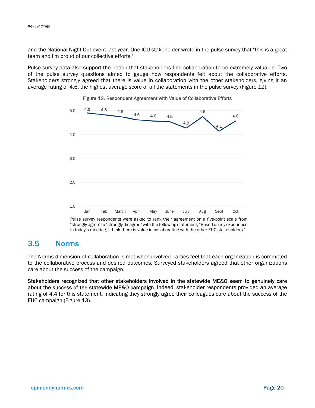and the National Night Out event last year. One IOU stakeholder wrote in the pulse survey that "this is a great team and I'm proud of our collective efforts."

Pulse survey data also support the notion that stakeholders find collaboration to be extremely valuable. Two of the pulse survey questions aimed to gauge how respondents felt about the collaborative efforts. Stakeholders strongly agreed that there is value in collaboration with the other stakeholders, giving it an average rating of 4.6, the highest average score of all the statements in the pulse survey (Figure 12).



#### Figure 12. Respondent Agreement with Value of Collaborative Efforts

Pulse survey respondents were asked to rank their agreement on a five-point scale from "strongly agree" to "strongly disagree" with the following statement, "Based on my experience in today's meeting, I think there is value in collaborating with the other EUC stakeholders."

### 3.5 Norms

The Norms dimension of collaboration is met when involved parties feel that each organization is committed to the collaborative process and desired outcomes. Surveyed stakeholders agreed that other organizations care about the success of the campaign.

Stakeholders recognized that other stakeholders involved in the statewide ME&O seem to genuinely care about the success of the statewide ME&O campaign. Indeed, stakeholder respondents provided an average rating of 4.4 for this statement, indicating they strongly agree their colleagues care about the success of the EUC campaign (Figure 13).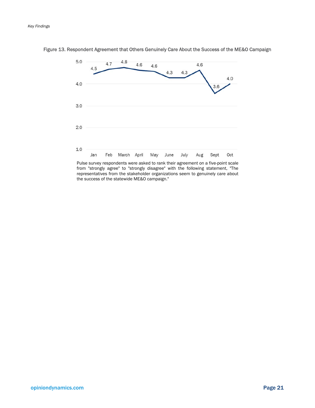

Figure 13. Respondent Agreement that Others Genuinely Care About the Success of the ME&O Campaign

Pulse survey respondents were asked to rank their agreement on a five-point scale from "strongly agree" to "strongly disagree" with the following statement, "The representatives from the stakeholder organizations seem to genuinely care about the success of the statewide ME&O campaign."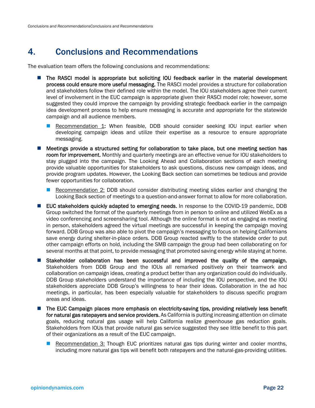# 4. Conclusions and Recommendations

The evaluation team offers the following conclusions and recommendations:

- **The RASCI model is appropriate but soliciting IOU feedback earlier in the material development** process could ensure more useful messaging. The RASCI model provides a structure for collaboration and stakeholders follow their defined role within the model. The IOU stakeholders agree their current level of involvement in the EUC campaign is appropriate given their RASCI model role; however, some suggested they could improve the campaign by providing strategic feedback earlier in the campaign idea development process to help ensure messaging is accurate and appropriate for the statewide campaign and all audience members.
	- **Recommendation 1: When feasible, DDB should consider seeking IOU input earlier when** developing campaign ideas and utilize their expertise as a resource to ensure appropriate messaging.
- **Meetings provide a structured setting for collaboration to take place, but one meeting section has** room for improvement. Monthly and quarterly meetings are an effective venue for IOU stakeholders to stay plugged into the campaign. The Looking Ahead and Collaboration sections of each meeting provide valuable opportunities for stakeholders to ask questions, discuss new campaign ideas, and provide program updates. However, the Looking Back section can sometimes be tedious and provide fewer opportunities for collaboration.
	- **Recommendation 2: DDB** should consider distributing meeting slides earlier and changing the Looking Back section of meetings to a question-and-answer format to allow for more collaboration.
- **EUC stakeholders quickly adapted to emerging needs.** In response to the COVID-19 pandemic, DDB Group switched the format of the quarterly meetings from in person to online and utilized WebEx as a video conferencing and screensharing tool. Although the online format is not as engaging as meeting in person, stakeholders agreed the virtual meetings are successful in keeping the campaign moving forward. DDB Group was also able to pivot the campaign's messaging to focus on helping Californians save energy during shelter-in-place orders. DDB Group reacted swiftly to the statewide order to put other campaign efforts on hold, including the SMB campaign the group had been collaborating on for several months at that point, to provide messaging that promoted saving energy while staying at home.
- Stakeholder collaboration has been successful and improved the quality of the campaign. Stakeholders from DDB Group and the IOUs all remarked positively on their teamwork and collaboration on campaign ideas, creating a product better than any organization could do individually. DDB Group stakeholders understand the importance of including the IOU perspective, and the IOU stakeholders appreciate DDB Group's willingness to hear their ideas. Collaboration in the ad hoc meetings, in particular, has been especially valuable for stakeholders to discuss specific program areas and ideas.
- The EUC Campaign places more emphasis on electricity-saving tips, providing relatively less benefit for natural gas ratepayers and service providers. As California is putting increasing attention on climate goals, reducing natural gas usage will help California realize greenhouse gas reduction goals. Stakeholders from IOUs that provide natural gas service suggested they see little benefit to this part of their organizations as a result of the EUC campaign.
	- **Recommendation 3: Though EUC prioritizes natural gas tips during winter and cooler months,** including more natural gas tips will benefit both ratepayers and the natural-gas-providing utilities.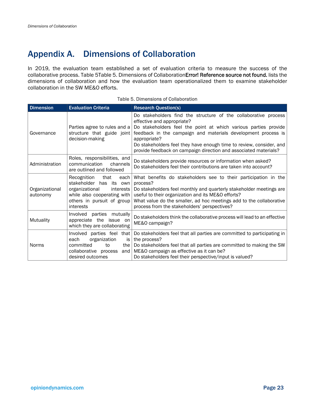# Appendix A. Dimensions of Collaboration

In 2019, the evaluation team established a set of evaluation criteria to measure the success of the collaborative process. Table 5Table 5. Dimensions of CollaborationError! Reference source not found. lists the dimensions of collaboration and how the evaluation team operationalized them to examine stakeholder collaboration in the SW ME&O efforts.

| <b>Dimension</b>           | <b>Evaluation Criteria</b>                                                                                                                                          | <b>Research Question(s)</b>                                                                                                                                                                                                                                                                                                                                                                  |
|----------------------------|---------------------------------------------------------------------------------------------------------------------------------------------------------------------|----------------------------------------------------------------------------------------------------------------------------------------------------------------------------------------------------------------------------------------------------------------------------------------------------------------------------------------------------------------------------------------------|
| Governance                 | Parties agree to rules and a<br>structure that guide joint<br>decision-making                                                                                       | Do stakeholders find the structure of the collaborative process<br>effective and appropriate?<br>Do stakeholders feel the point at which various parties provide<br>feedback in the campaign and materials development process is<br>appropriate?<br>Do stakeholders feel they have enough time to review, consider, and<br>provide feedback on campaign direction and associated materials? |
| Administration             | Roles, responsibilities, and<br>communication<br>channels<br>are outlined and followed                                                                              | Do stakeholders provide resources or information when asked?<br>Do stakeholders feel their contributions are taken into account?                                                                                                                                                                                                                                                             |
| Organizational<br>autonomy | Recognition<br>that<br>each<br>stakeholder has its own<br>organizational<br>interests<br>while also cooperating with $ $<br>others in pursuit of group<br>interests | What benefits do stakeholders see to their participation in the<br>process?<br>Do stakeholders feel monthly and quarterly stakeholder meetings are<br>useful to their organization and its ME&O efforts?<br>What value do the smaller, ad hoc meetings add to the collaborative<br>process from the stakeholders' perspectives?                                                              |
| Mutuality                  | Involved parties mutually<br>appreciate the issue on<br>which they are collaborating                                                                                | Do stakeholders think the collaborative process will lead to an effective<br>ME&O campaign?                                                                                                                                                                                                                                                                                                  |
| <b>Norms</b>               | Involved parties feel<br>that  <br>organization<br>is l<br>each<br>committed<br>to<br>the I<br>collaborative process<br>and I<br>desired outcomes                   | Do stakeholders feel that all parties are committed to participating in<br>the process?<br>Do stakeholders feel that all parties are committed to making the SW<br>ME&O campaign as effective as it can be?<br>Do stakeholders feel their perspective/input is valued?                                                                                                                       |

#### Table 5. Dimensions of Collaboration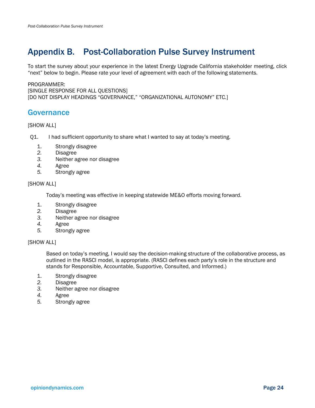# Appendix B. Post-Collaboration Pulse Survey Instrument

To start the survey about your experience in the latest Energy Upgrade California stakeholder meeting, click "next" below to begin. Please rate your level of agreement with each of the following statements.

#### PROGRAMMER:

[SINGLE RESPONSE FOR ALL QUESTIONS] [DO NOT DISPLAY HEADINGS "GOVERNANCE," "ORGANIZATIONAL AUTONOMY" ETC.]

### Governance

#### [SHOW ALL]

Q1. I had sufficient opportunity to share what I wanted to say at today's meeting.

- 1. Strongly disagree
- *2.* Disagree
- *3.* Neither agree nor disagree
- *4.* Agree
- *5.* Strongly agree

#### [SHOW ALL]

Today's meeting was effective in keeping statewide ME&O efforts moving forward.

- 1. Strongly disagree
- *2.* Disagree
- *3.* Neither agree nor disagree
- *4.* Agree
- *5.* Strongly agree

#### [SHOW ALL]

Based on today's meeting, I would say the decision-making structure of the collaborative process, as outlined in the RASCI model, is appropriate. (RASCI defines each party's role in the structure and stands for Responsible, Accountable, Supportive, Consulted, and Informed.)

- 1. Strongly disagree
- *2.* Disagree
- *3.* Neither agree nor disagree
- *4.* Agree
- *5.* Strongly agree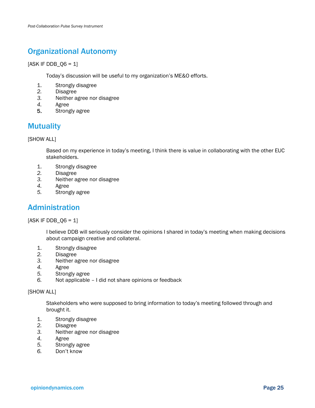# Organizational Autonomy

#### $[ASK IF DDB_Q6 = 1]$

Today's discussion will be useful to my organization's ME&O efforts.

- 1. Strongly disagree
- *2.* Disagree
- *3.* Neither agree nor disagree
- *4.* Agree
- 5. Strongly agree

# **Mutuality**

#### [SHOW ALL]

Based on my experience in today's meeting, I think there is value in collaborating with the other EUC stakeholders.

- 1. Strongly disagree
- *2.* Disagree
- *3.* Neither agree nor disagree
- *4.* Agree
- *5.* Strongly agree

### Administration

 $[ASK IF DDB_Q6 = 1]$ 

I believe DDB will seriously consider the opinions I shared in today's meeting when making decisions about campaign creative and collateral.

- 1. Strongly disagree
- *2.* Disagree
- *3.* Neither agree nor disagree
- *4.* Agree
- *5.* Strongly agree
- *6.* Not applicable I did not share opinions or feedback

#### [SHOW ALL]

Stakeholders who were supposed to bring information to today's meeting followed through and brought it.

- 1. Strongly disagree
- *2.* Disagree
- *3.* Neither agree nor disagree
- *4.* Agree
- *5.* Strongly agree
- *6.* Don't know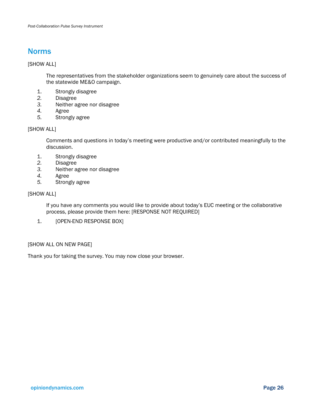### Norms

#### [SHOW ALL]

The representatives from the stakeholder organizations seem to genuinely care about the success of the statewide ME&O campaign.

- 1. Strongly disagree
- *2.* Disagree
- *3.* Neither agree nor disagree
- *4.* Agree
- *5.* Strongly agree

#### [SHOW ALL]

Comments and questions in today's meeting were productive and/or contributed meaningfully to the discussion.

- 1. Strongly disagree
- *2.* Disagree
- *3.* Neither agree nor disagree
- *4.* Agree
- *5.* Strongly agree

#### [SHOW ALL]

If you have any comments you would like to provide about today's EUC meeting or the collaborative process, please provide them here: [RESPONSE NOT REQUIRED]

1. [OPEN-END RESPONSE BOX]

#### [SHOW ALL ON NEW PAGE]

Thank you for taking the survey. You may now close your browser.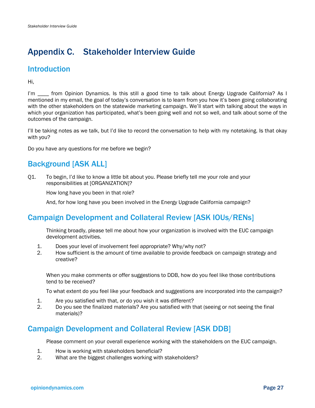# Appendix C. Stakeholder Interview Guide

# **Introduction**

Hi,

I'm \_\_\_\_ from Opinion Dynamics. Is this still a good time to talk about Energy Upgrade California? As I mentioned in my email, the goal of today's conversation is to learn from you how it's been going collaborating with the other stakeholders on the statewide marketing campaign. We'll start with talking about the ways in which your organization has participated, what's been going well and not so well, and talk about some of the outcomes of the campaign.

I'll be taking notes as we talk, but I'd like to record the conversation to help with my notetaking. Is that okay with you?

Do you have any questions for me before we begin?

# Background [ASK ALL]

Q1. To begin, I'd like to know a little bit about you. Please briefly tell me your role and your responsibilities at [ORGANIZATION]?

How long have you been in that role?

And, for how long have you been involved in the Energy Upgrade California campaign?

# Campaign Development and Collateral Review [ASK IOUs/RENs]

Thinking broadly, please tell me about how your organization is involved with the EUC campaign development activities.

- 1. Does your level of involvement feel appropriate? Why/why not?
- 2. How sufficient is the amount of time available to provide feedback on campaign strategy and creative?

When you make comments or offer suggestions to DDB, how do you feel like those contributions tend to be received?

To what extent do you feel like your feedback and suggestions are incorporated into the campaign?

- 1. Are you satisfied with that, or do you wish it was different?
- 2. Do you see the finalized materials? Are you satisfied with that (seeing or not seeing the final materials)?

# Campaign Development and Collateral Review [ASK DDB]

Please comment on your overall experience working with the stakeholders on the EUC campaign.

- 1. How is working with stakeholders beneficial?
- 2. What are the biggest challenges working with stakeholders?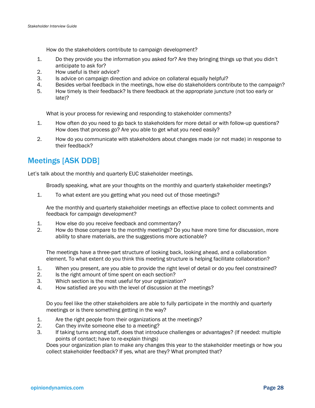How do the stakeholders contribute to campaign development?

- 1. Do they provide you the information you asked for? Are they bringing things up that you didn't anticipate to ask for?
- 2. How useful is their advice?
- 3. Is advice on campaign direction and advice on collateral equally helpful?
- 4. Besides verbal feedback in the meetings, how else do stakeholders contribute to the campaign?
- 5. How timely is their feedback? Is there feedback at the appropriate juncture (not too early or late)?

What is your process for reviewing and responding to stakeholder comments?

- 1. How often do you need to go back to stakeholders for more detail or with follow-up questions? How does that process go? Are you able to get what you need easily?
- 2. How do you communicate with stakeholders about changes made (or not made) in response to their feedback?

# Meetings [ASK DDB]

Let's talk about the monthly and quarterly EUC stakeholder meetings.

Broadly speaking, what are your thoughts on the monthly and quarterly stakeholder meetings?

1. To what extent are you getting what you need out of those meetings?

Are the monthly and quarterly stakeholder meetings an effective place to collect comments and feedback for campaign development?

- 1. How else do you receive feedback and commentary?
- 2. How do those compare to the monthly meetings? Do you have more time for discussion, more ability to share materials, are the suggestions more actionable?

The meetings have a three-part structure of looking back, looking ahead, and a collaboration element. To what extent do you think this meeting structure is helping facilitate collaboration?

- 1. When you present, are you able to provide the right level of detail or do you feel constrained?
- 2. Is the right amount of time spent on each section?
- 3. Which section is the most useful for your organization?
- 4. How satisfied are you with the level of discussion at the meetings?

Do you feel like the other stakeholders are able to fully participate in the monthly and quarterly meetings or is there something getting in the way?

- 1. Are the right people from their organizations at the meetings?
- 2. Can they invite someone else to a meeting?
- 3. If taking turns among staff, does that introduce challenges or advantages? (If needed: multiple points of contact; have to re-explain things)

Does your organization plan to make any changes this year to the stakeholder meetings or how you collect stakeholder feedback? If yes, what are they? What prompted that?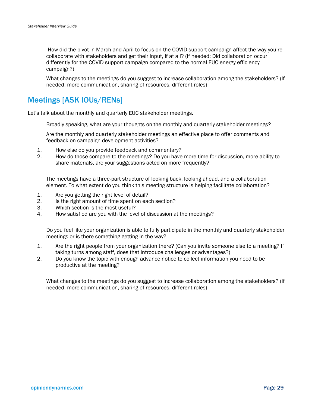How did the pivot in March and April to focus on the COVID support campaign affect the way you're collaborate with stakeholders and get their input, if at all? (If needed: Did collaboration occur differently for the COVID support campaign compared to the normal EUC energy efficiency campaign?)

What changes to the meetings do you suggest to increase collaboration among the stakeholders? (If needed: more communication, sharing of resources, different roles)

# Meetings [ASK IOUs/RENs]

Let's talk about the monthly and quarterly EUC stakeholder meetings.

Broadly speaking, what are your thoughts on the monthly and quarterly stakeholder meetings?

Are the monthly and quarterly stakeholder meetings an effective place to offer comments and feedback on campaign development activities?

- 1. How else do you provide feedback and commentary?
- 2. How do those compare to the meetings? Do you have more time for discussion, more ability to share materials, are your suggestions acted on more frequently?

The meetings have a three-part structure of looking back, looking ahead, and a collaboration element. To what extent do you think this meeting structure is helping facilitate collaboration?

- 1. Are you getting the right level of detail?
- 2. Is the right amount of time spent on each section?
- 3. Which section is the most useful?
- 4. How satisfied are you with the level of discussion at the meetings?

Do you feel like your organization is able to fully participate in the monthly and quarterly stakeholder meetings or is there something getting in the way?

- 1. Are the right people from your organization there? (Can you invite someone else to a meeting? If taking turns among staff, does that introduce challenges or advantages?)
- 2. Do you know the topic with enough advance notice to collect information you need to be productive at the meeting?

What changes to the meetings do you suggest to increase collaboration among the stakeholders? (If needed, more communication, sharing of resources, different roles)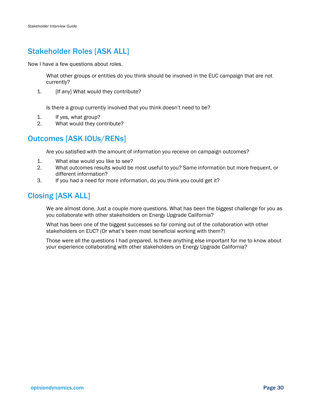# Stakeholder Roles [ASK ALL]

Now I have a few questions about roles.

What other groups or entities do you think should be involved in the EUC campaign that are not currently?

1. **If any What would they contribute?** 

Is there a group currently involved that you think doesn't need to be?

- 1. If yes, what group?
- 2. What would they contribute?

# Outcomes [ASK IOUs/RENs]

Are you satisfied with the amount of information you receive on campaign outcomes?

- 1. What else would you like to see?
- 2. What outcomes results would be most useful to you? Same information but more frequent, or different information?
- 3. If you had a need for more information, do you think you could get it?

# Closing [ASK ALL]

We are almost done, Just a couple more questions. What has been the biggest challenge for you as you collaborate with other stakeholders on Energy Upgrade California?

What has been one of the biggest successes so far coming out of the collaboration with other stakeholders on EUC? (Or what's been most beneficial working with them?)

Those were all the questions I had prepared. Is there anything else important for me to know about your experience collaborating with other stakeholders on Energy Upgrade California?